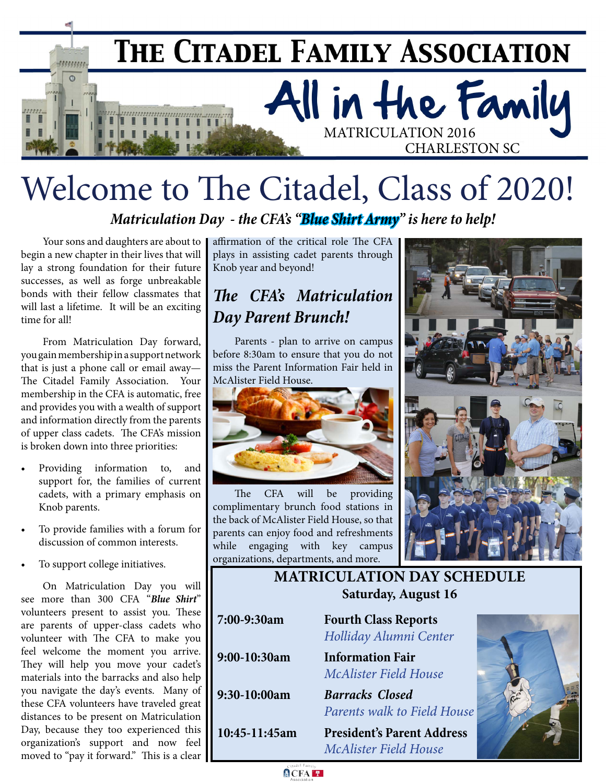

# Welcome to The Citadel, Class of 2020!

*Matriculation Day - the CFA's "Blue Shirt Army" is here to help!*

Your sons and daughters are about to begin a new chapter in their lives that will lay a strong foundation for their future successes, as well as forge unbreakable bonds with their fellow classmates that will last a lifetime. It will be an exciting time for all!

From Matriculation Day forward, you gain membership in a support network that is just a phone call or email away— The Citadel Family Association. Your membership in the CFA is automatic, free and provides you with a wealth of support and information directly from the parents of upper class cadets. The CFA's mission is broken down into three priorities:

- Providing information to, and support for, the families of current cadets, with a primary emphasis on Knob parents.
- To provide families with a forum for discussion of common interests.
- To support college initiatives.

On Matriculation Day you will see more than 300 CFA "*Blue Shirt*" volunteers present to assist you. These are parents of upper-class cadets who volunteer with The CFA to make you feel welcome the moment you arrive. They will help you move your cadet's materials into the barracks and also help you navigate the day's events. Many of these CFA volunteers have traveled great distances to be present on Matriculation Day, because they too experienced this organization's support and now feel moved to "pay it forward." This is a clear

affirmation of the critical role The CFA plays in assisting cadet parents through Knob year and beyond!

## *The CFA's Matriculation Day Parent Brunch!*

Parents - plan to arrive on campus before 8:30am to ensure that you do not miss the Parent Information Fair held in McAlister Field House.



The CFA will be providing complimentary brunch food stations in the back of McAlister Field House, so that parents can enjoy food and refreshments while engaging with key campus organizations, departments, and more.



### **MATRICULATION DAY SCHEDULE Saturday, August 16**

**7:00-9:30am Fourth Class Reports** *Holliday Alumni Center* **9:00-10:30am Information Fair** *McAlister Field House* **9:30-10:00am** *Barracks Closed Parents walk to Field House* **10:45-11:45am President's Parent Address**

*McAlister Field House*



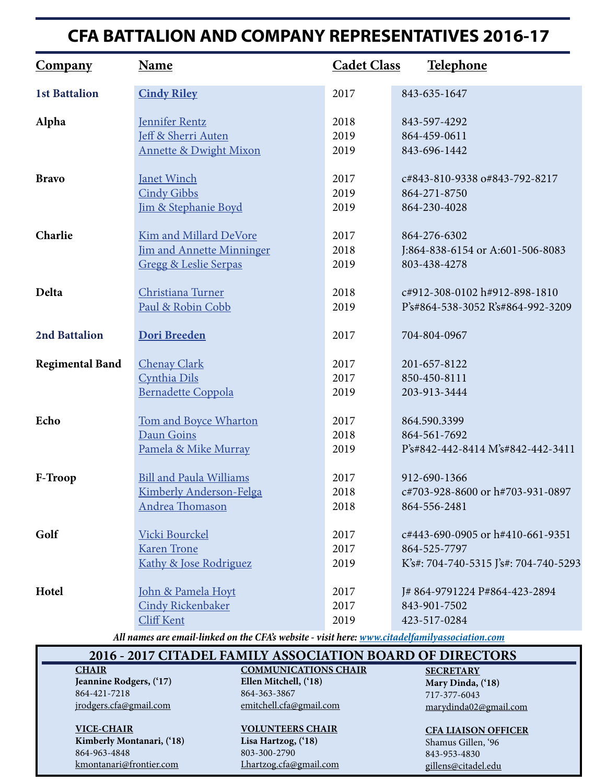## **CFA BATTALION AND COMPANY REPRESENTATIVES 2016-17**

| <b>Company</b>         | Name                              | <b>Cadet Class</b> | <b>Telephone</b>                      |
|------------------------|-----------------------------------|--------------------|---------------------------------------|
| <b>1st Battalion</b>   | <b>Cindy Riley</b>                | 2017               | 843-635-1647                          |
| Alpha                  | <b>Jennifer Rentz</b>             | 2018               | 843-597-4292                          |
|                        | Jeff & Sherri Auten               | 2019               | 864-459-0611                          |
|                        | <b>Annette &amp; Dwight Mixon</b> | 2019               | 843-696-1442                          |
| <b>Bravo</b>           | <b>Janet Winch</b>                | 2017               | c#843-810-9338 o#843-792-8217         |
|                        | <b>Cindy Gibbs</b>                | 2019               | 864-271-8750                          |
|                        | Jim & Stephanie Boyd              | 2019               | 864-230-4028                          |
| Charlie                | <b>Kim and Millard DeVore</b>     | 2017               | 864-276-6302                          |
|                        | <b>Jim and Annette Minninger</b>  | 2018               | J:864-838-6154 or A:601-506-8083      |
|                        | <b>Gregg &amp; Leslie Serpas</b>  | 2019               | 803-438-4278                          |
| Delta                  | Christiana Turner                 | 2018               | c#912-308-0102 h#912-898-1810         |
|                        | Paul & Robin Cobb                 | 2019               | P's#864-538-3052 R's#864-992-3209     |
| 2nd Battalion          | <b>Dori Breeden</b>               | 2017               | 704-804-0967                          |
| <b>Regimental Band</b> | <b>Chenay Clark</b>               | 2017               | 201-657-8122                          |
|                        | Cynthia Dils                      | 2017               | 850-450-8111                          |
|                        | <b>Bernadette Coppola</b>         | 2019               | 203-913-3444                          |
| Echo                   | Tom and Boyce Wharton             | 2017               | 864.590.3399                          |
|                        | Daun Goins                        | 2018               | 864-561-7692                          |
|                        | Pamela & Mike Murray              | 2019               | P's#842-442-8414 M's#842-442-3411     |
| F-Troop                | <b>Bill and Paula Williams</b>    | 2017               | 912-690-1366                          |
|                        | Kimberly Anderson-Felga           | 2018               | c#703-928-8600 or h#703-931-0897      |
|                        | <b>Andrea Thomason</b>            | 2018               | 864-556-2481                          |
| Golf                   | Vicki Bourckel                    | 2017               | c#443-690-0905 or h#410-661-9351      |
|                        | <b>Karen Trone</b>                | 2017               | 864-525-7797                          |
|                        | Kathy & Jose Rodriguez            | 2019               | K's#: 704-740-5315 J's#: 704-740-5293 |
| Hotel                  | John & Pamela Hoyt                | 2017               | J#864-9791224 P#864-423-2894          |
|                        | <b>Cindy Rickenbaker</b>          | 2017               | 843-901-7502                          |
|                        | Cliff Kent                        | 2019               | 423-517-0284                          |

*All names are email-linked on the CFA's website - visit here:<www.citadelfamilyassociation.com>*

#### **2016 - 2017 CITADEL FAMILY ASSOCIATION BOARD OF DIRECTORS**

#### **CHAIR**

**Jeannine Rodgers, ('17)** 864-421-7218 [jrodgers.cfa@gmail.com](mailto:jrodgers.cfa@gmail.com)

**VICE-CHAIR Kimberly Montanari, ('18)** 864-963-4848 kmontanari@frontier.com

**COMMUNICATIONS CHAIR Ellen Mitchell, ('18)** 864-363-3867 [emitchell.cfa@gmail.com](mailto:emitchell.cfa@gmail.com)

#### **VOLUNTEERS CHAIR Lisa Hartzog, ('18)**

803-300-2790 L[hartzog.cfa@gmail.com](mailto:Lhartzog.cfa@gmail.com) **SECRETARY Mary Dinda, ('18)** 717-377-6043 [marydinda02@gmail.com](mailto:marydinda02@gmail.com)

**CFA LIAISON OFFICER**

Shamus Gillen, '96 843-953-4830 [gillens@citadel.edu](mailto:gillens@citadel.edu)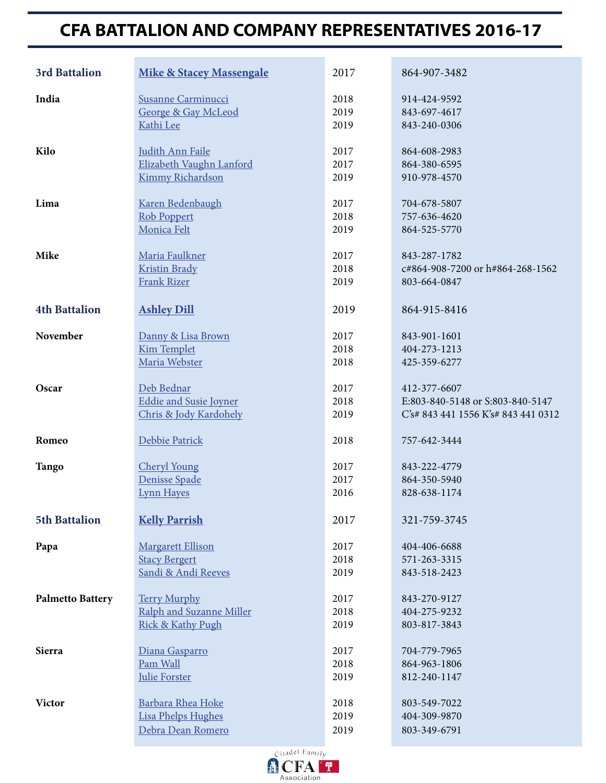## **CFA BATTALION AND COMPANY REPRESENTATIVES 2016-17**

| 3rd Battalion           | <b>Mike &amp; Stacey Massengale</b> | 2017 | 864-907-3482                        |
|-------------------------|-------------------------------------|------|-------------------------------------|
| India                   | Susanne Carminucci                  | 2018 | 914-424-9592                        |
|                         | <b>George &amp; Gay McLeod</b>      | 2019 | 843-697-4617                        |
|                         | Kathi Lee                           | 2019 | 843-240-0306                        |
| Kilo                    | Judith Ann Faile                    | 2017 | 864-608-2983                        |
|                         | Elizabeth Vaughn Lanford            | 2017 | 864-380-6595                        |
|                         | <b>Kimmy Richardson</b>             | 2019 | 910-978-4570                        |
| Lima                    | Karen Bedenbaugh                    | 2017 | 704-678-5807                        |
|                         | <b>Rob Poppert</b>                  | 2018 | 757-636-4620                        |
|                         | Monica Felt                         | 2019 | 864-525-5770                        |
| Mike                    | Maria Faulkner                      | 2017 | 843-287-1782                        |
|                         | <b>Kristin Brady</b>                | 2018 | c#864-908-7200 or h#864-268-1562    |
|                         | <b>Frank Rizer</b>                  | 2019 | 803-664-0847                        |
| <b>4th Battalion</b>    | <b>Ashley Dill</b>                  | 2019 | 864-915-8416                        |
| November                | Danny & Lisa Brown                  | 2017 | 843-901-1601                        |
|                         | <b>Kim Templet</b>                  | 2018 | 404-273-1213                        |
|                         | Maria Webster                       | 2018 | 425-359-6277                        |
| Oscar                   | Deb Bednar                          | 2017 | 412-377-6607                        |
|                         | <b>Eddie and Susie Joyner</b>       | 2018 | E:803-840-5148 or S:803-840-5147    |
|                         | Chris & Jody Kardohely              | 2019 | C's# 843 441 1556 K's# 843 441 0312 |
| Romeo                   | Debbie Patrick                      | 2018 | 757-642-3444                        |
| <b>Tango</b>            | <b>Cheryl Young</b>                 | 2017 | 843-222-4779                        |
|                         | Denisse Spade                       | 2017 | 864-350-5940                        |
|                         | <b>Lynn Hayes</b>                   | 2016 | 828-638-1174                        |
| <b>5th Battalion</b>    | <b>Kelly Parrish</b>                | 2017 | 321-759-3745                        |
| Papa                    | <b>Margarett Ellison</b>            | 2017 | 404-406-6688                        |
|                         | <b>Stacy Bergert</b>                | 2018 | 571-263-3315                        |
|                         | Sandi & Andi Reeves                 | 2019 | 843-518-2423                        |
| <b>Palmetto Battery</b> | <b>Terry Murphy</b>                 | 2017 | 843-270-9127                        |
|                         | Ralph and Suzanne Miller            | 2018 | 404-275-9232                        |
|                         | Rick & Kathy Pugh                   | 2019 | 803-817-3843                        |
| Sierra                  | Diana Gasparro                      | 2017 | 704-779-7965                        |
|                         | Pam Wall                            | 2018 | 864-963-1806                        |
|                         | <b>Julie Forster</b>                | 2019 | 812-240-1147                        |
| <b>Victor</b>           | Barbara Rhea Hoke                   | 2018 | 803-549-7022                        |
|                         | <b>Lisa Phelps Hughes</b>           | 2019 | 404-309-9870                        |
|                         | Debra Dean Romero                   | 2019 | 803-349-6791                        |